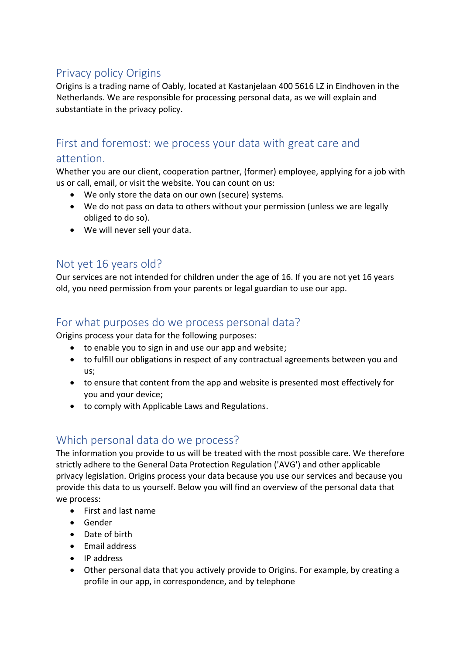# Privacy policy Origins

Origins is a trading name of Oably, located at Kastanjelaan 400 5616 LZ in Eindhoven in the Netherlands. We are responsible for processing personal data, as we will explain and substantiate in the privacy policy.

# First and foremost: we process your data with great care and

#### attention.

Whether you are our client, cooperation partner, (former) employee, applying for a job with us or call, email, or visit the website. You can count on us:

- We only store the data on our own (secure) systems.
- We do not pass on data to others without your permission (unless we are legally obliged to do so).
- We will never sell your data.

## Not yet 16 years old?

Our services are not intended for children under the age of 16. If you are not yet 16 years old, you need permission from your parents or legal guardian to use our app.

## For what purposes do we process personal data?

Origins process your data for the following purposes:

- to enable you to sign in and use our app and website;
- to fulfill our obligations in respect of any contractual agreements between you and us;
- to ensure that content from the app and website is presented most effectively for you and your device;
- to comply with Applicable Laws and Regulations.

# Which personal data do we process?

The information you provide to us will be treated with the most possible care. We therefore strictly adhere to the General Data Protection Regulation ('AVG') and other applicable privacy legislation. Origins process your data because you use our services and because you provide this data to us yourself. Below you will find an overview of the personal data that we process:

- First and last name
- Gender
- Date of birth
- Email address
- IP address
- Other personal data that you actively provide to Origins. For example, by creating a profile in our app, in correspondence, and by telephone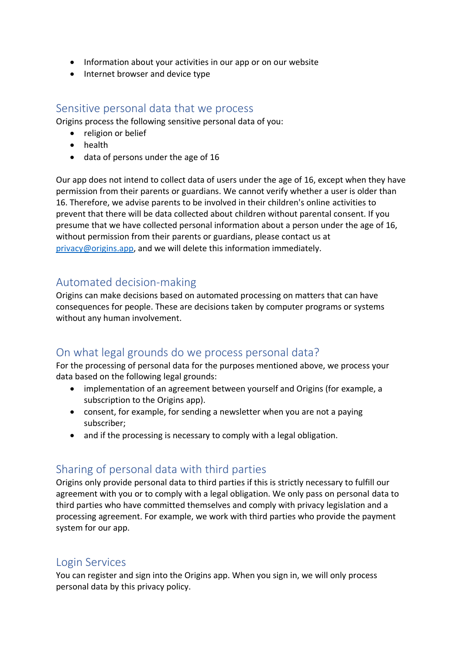- Information about your activities in our app or on our website
- Internet browser and device type

### Sensitive personal data that we process

Origins process the following sensitive personal data of you:

- religion or belief
- health
- data of persons under the age of 16

Our app does not intend to collect data of users under the age of 16, except when they have permission from their parents or guardians. We cannot verify whether a user is older than 16. Therefore, we advise parents to be involved in their children's online activities to prevent that there will be data collected about children without parental consent. If you presume that we have collected personal information about a person under the age of 16, without permission from their parents or guardians, please contact us at [privacy@origins.app,](mailto:privacy@origins.app) and we will delete this information immediately.

## Automated decision-making

Origins can make decisions based on automated processing on matters that can have consequences for people. These are decisions taken by computer programs or systems without any human involvement.

## On what legal grounds do we process personal data?

For the processing of personal data for the purposes mentioned above, we process your data based on the following legal grounds:

- implementation of an agreement between yourself and Origins (for example, a subscription to the Origins app).
- consent, for example, for sending a newsletter when you are not a paying subscriber;
- and if the processing is necessary to comply with a legal obligation.

# Sharing of personal data with third parties

Origins only provide personal data to third parties if this is strictly necessary to fulfill our agreement with you or to comply with a legal obligation. We only pass on personal data to third parties who have committed themselves and comply with privacy legislation and a processing agreement. For example, we work with third parties who provide the payment system for our app.

### Login Services

You can register and sign into the Origins app. When you sign in, we will only process personal data by this privacy policy.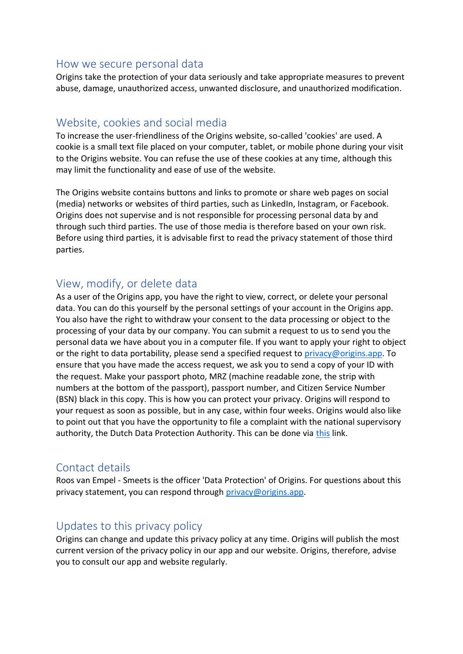#### How we secure personal data

Origins take the protection of your data seriously and take appropriate measures to prevent abuse, damage, unauthorized access, unwanted disclosure, and unauthorized modification.

## Website, cookies and social media

To increase the user-friendliness of the Origins website, so-called 'cookies' are used. A cookie is a small text file placed on your computer, tablet, or mobile phone during your visit to the Origins website. You can refuse the use of these cookies at any time, although this may limit the functionality and ease of use of the website.

The Origins website contains buttons and links to promote or share web pages on social (media) networks or websites of third parties, such as LinkedIn, Instagram, or Facebook. Origins does not supervise and is not responsible for processing personal data by and through such third parties. The use of those media is therefore based on your own risk. Before using third parties, it is advisable first to read the privacy statement of those third parties.

## View, modify, or delete data

As a user of the Origins app, you have the right to view, correct, or delete your personal data. You can do this yourself by the personal settings of your account in the Origins app. You also have the right to withdraw your consent to the data processing or object to the processing of your data by our company. You can submit a request to us to send you the personal data we have about you in a computer file. If you want to apply your right to object or the right to data portability, please send a specified request to [privacy@origins.app.](mailto:privacy@origins.app) To ensure that you have made the access request, we ask you to send a copy of your ID with the request. Make your passport photo, MRZ (machine readable zone, the strip with numbers at the bottom of the passport), passport number, and Citizen Service Number (BSN) black in this copy. This is how you can protect your privacy. Origins will respond to your request as soon as possible, but in any case, within four weeks. Origins would also like to point out that you have the opportunity to file a complaint with the national supervisory authority, the Dutch Data Protection Authority. This can be done via [this](https://autoriteitpersoonsgegevens.nl/nl/contact-met-de-autoriteit-persoonsgegevens/tip-ons) link.

## Contact details

Roos van Empel - Smeets is the officer 'Data Protection' of Origins. For questions about this privacy statement, you can respond through [privacy@origins.app.](mailto:privacy@origins.app)

## Updates to this privacy policy

Origins can change and update this privacy policy at any time. Origins will publish the most current version of the privacy policy in our app and our website. Origins, therefore, advise you to consult our app and website regularly.